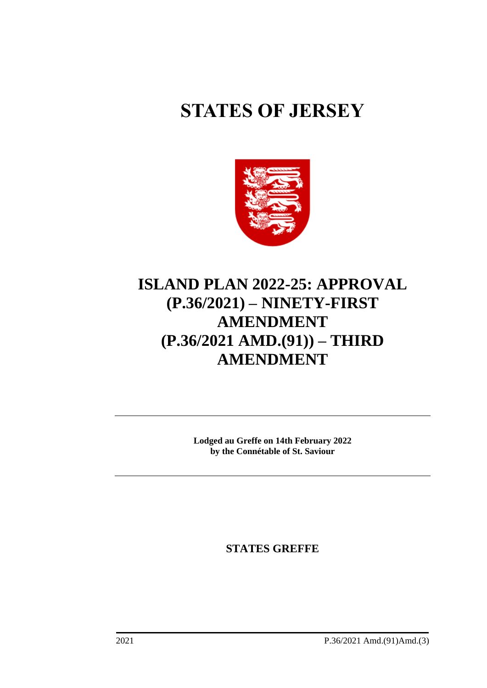# **STATES OF JERSEY**



# **ISLAND PLAN 2022-25: APPROVAL (P.36/2021) – NINETY-FIRST AMENDMENT (P.36/2021 AMD.(91)) – THIRD AMENDMENT**

**Lodged au Greffe on 14th February 2022 by the Connétable of St. Saviour**

**STATES GREFFE**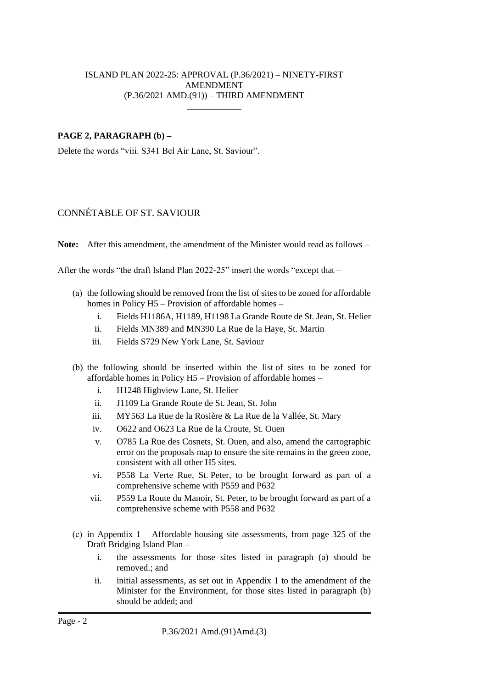## ISLAND PLAN 2022-25: APPROVAL (P.36/2021) – NINETY-FIRST AMENDMENT (P.36/2021 AMD.(91)) – THIRD AMENDMENT  $\overline{\phantom{a}}$

# **PAGE 2, PARAGRAPH (b) –**

Delete the words "viii. S341 Bel Air Lane, St. Saviour".

# CONNÉTABLE OF ST. SAVIOUR

**Note:** After this amendment, the amendment of the Minister would read as follows –

After the words "the draft Island Plan 2022-25" insert the words "except that –

- (a) the following should be removed from the list of sites to be zoned for affordable homes in Policy H5 – Provision of affordable homes –
	- i. Fields H1186A, H1189, H1198 La Grande Route de St. Jean, St. Helier
	- ii. Fields MN389 and MN390 La Rue de la Haye, St. Martin
	- iii. Fields S729 New York Lane, St. Saviour
- (b) the following should be inserted within the list of sites to be zoned for affordable homes in Policy H5 – Provision of affordable homes –
	- i. H1248 Highview Lane, St. Helier
	- ii. J1109 La Grande Route de St. Jean, St. John
	- iii. MY563 La Rue de la Rosière & La Rue de la Vallée, St. Mary
	- iv. O622 and O623 La Rue de la Croute, St. Ouen
	- v. O785 La Rue des Cosnets, St. Ouen, and also, amend the cartographic error on the proposals map to ensure the site remains in the green zone, consistent with all other H5 sites.
	- vi. P558 La Verte Rue, St. Peter, to be brought forward as part of a comprehensive scheme with P559 and P632
	- vii. P559 La Route du Manoir, St. Peter, to be brought forward as part of a comprehensive scheme with P558 and P632
- (c) in Appendix  $1 -$  Affordable housing site assessments, from page 325 of the Draft Bridging Island Plan –
	- i. the assessments for those sites listed in paragraph (a) should be removed.; and
	- ii. initial assessments, as set out in Appendix 1 to the amendment of the Minister for the Environment, for those sites listed in paragraph (b) should be added; and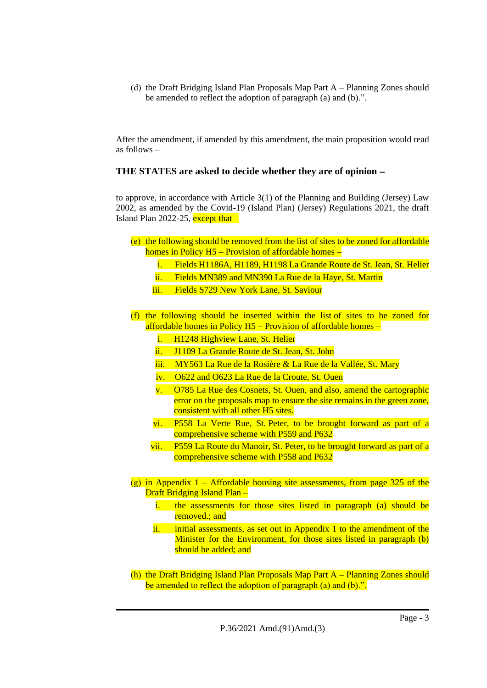(d) the Draft Bridging Island Plan Proposals Map Part A – Planning Zones should be amended to reflect the adoption of paragraph (a) and (b).".

After the amendment, if amended by this amendment, the main proposition would read as follows –

# **THE STATES are asked to decide whether they are of opinion** −

to approve, in accordance with Article 3(1) of the Planning and Building (Jersey) Law 2002, as amended by the Covid-19 (Island Plan) (Jersey) Regulations 2021, the draft Island Plan 2022-25, except that  $-$ 

- (e) the following should be removed from the list of sites to be zoned for affordable homes in Policy H5 – Provision of affordable homes –
	- i. Fields H1186A, H1189, H1198 La Grande Route de St. Jean, St. Helier
	- ii. Fields MN389 and MN390 La Rue de la Haye, St. Martin
	- iii. Fields S729 New York Lane, St. Saviour
- (f) the following should be inserted within the list of sites to be zoned for affordable homes in Policy H5 – Provision of affordable homes –
	- i. H1248 Highview Lane, St. Helier
	- ii. J1109 La Grande Route de St. Jean, St. John
	- iii. MY563 La Rue de la Rosière & La Rue de la Vallée, St. Mary
	- iv. O622 and O623 La Rue de la Croute, St. Ouen
	- v. O785 La Rue des Cosnets, St. Ouen, and also, amend the cartographic error on the proposals map to ensure the site remains in the green zone, consistent with all other H5 sites.
	- vi. P558 La Verte Rue, St. Peter, to be brought forward as part of a comprehensive scheme with P559 and P632
	- vii. P559 La Route du Manoir, St. Peter, to be brought forward as part of a comprehensive scheme with P558 and P632
- (g) in Appendix 1 Affordable housing site assessments, from page 325 of the Draft Bridging Island Plan –
	- i. the assessments for those sites listed in paragraph (a) should be removed.: and
	- ii. initial assessments, as set out in Appendix 1 to the amendment of the Minister for the Environment, for those sites listed in paragraph (b) should be added; and
- (h) the Draft Bridging Island Plan Proposals Map Part A Planning Zones should be amended to reflect the adoption of paragraph (a) and (b).".